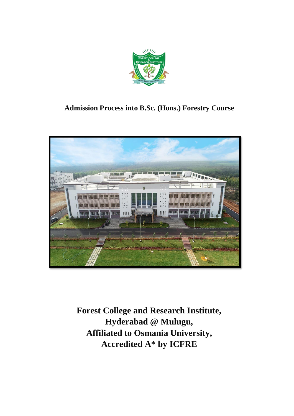

# **Admission Process into B.Sc. (Hons.) Forestry Course**



**Forest College and Research Institute, Hyderabad @ Mulugu, Affiliated to Osmania University, Accredited A\* by ICFRE**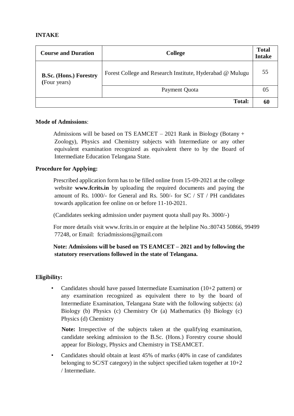## **INTAKE**

| <b>Course and Duration</b>                    | <b>College</b>                                            | <b>Total</b><br><b>Intake</b> |
|-----------------------------------------------|-----------------------------------------------------------|-------------------------------|
| <b>B.Sc. (Hons.) Forestry</b><br>(Four years) | Forest College and Research Institute, Hyderabad @ Mulugu | 55                            |
|                                               | Payment Quota                                             | 05                            |
|                                               | <b>Total:</b>                                             | 60                            |

### **Mode of Admissions**:

Admissions will be based on TS EAMCET – 2021 Rank in Biology (Botany + Zoology), Physics and Chemistry subjects with Intermediate or any other equivalent examination recognized as equivalent there to by the Board of Intermediate Education Telangana State.

## **Procedure for Applying:**

Prescribed application form has to be filled online from 15-09-2021 at the college website **www.fcrits.in** by uploading the required documents and paying the amount of Rs. 1000/- for General and Rs. 500/- for SC / ST / PH candidates towards application fee online on or before 11-10-2021.

(Candidates seeking admission under payment quota shall pay Rs. 3000/-)

For more details visit www.fcrits.in or enquire at the helpline No.:80743 50866, 99499 77248, or Email: fcriadmissions@gmail.com

# **Note: Admissions will be based on TS EAMCET – 2021 and by following the statutory reservations followed in the state of Telangana.**

# **Eligibility:**

Candidates should have passed Intermediate Examination  $(10+2$  pattern) or any examination recognized as equivalent there to by the board of Intermediate Examination, Telangana State with the following subjects: (a) Biology (b) Physics (c) Chemistry Or (a) Mathematics (b) Biology (c) Physics (d) Chemistry

**Note:** Irrespective of the subjects taken at the qualifying examination, candidate seeking admission to the B.Sc. (Hons.) Forestry course should appear for Biology, Physics and Chemistry in TSEAMCET.

• Candidates should obtain at least 45% of marks (40% in case of candidates belonging to SC/ST category) in the subject specified taken together at 10+2 / Intermediate.